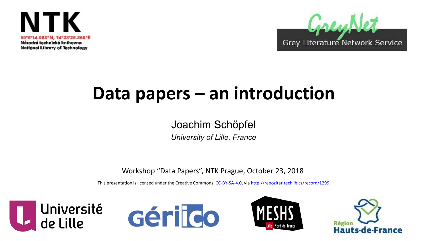



# **Data papers – an introduction**

Joachim Schöpfel

*University of Lille, France*

Workshop "Data Papers", NTK Prague, October 23, 2018

This presentation is licensed under the Creative Commons: [CC-BY-SA-4.0](https://creativecommons.org/licenses/by-sa/4.0/), via <http://repozitar.techlib.cz/record/1299>







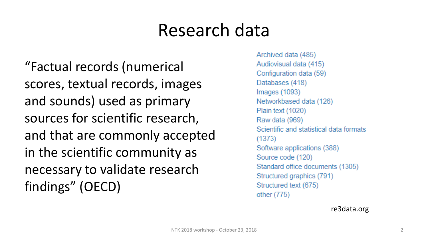# Research data

"Factual records (numerical scores, textual records, images and sounds) used as primary sources for scientific research, and that are commonly accepted in the scientific community as necessary to validate research findings" (OECD)

Archived data (485) Audiovisual data (415) Configuration data (59) Databases (418) Images  $(1093)$ Networkbased data (126) Plain text (1020) Raw data (969) Scientific and statistical data formats  $(1373)$ Software applications (388) Source code (120) Standard office documents (1305) Structured graphics (791) Structured text (675) other (775)

re3data.org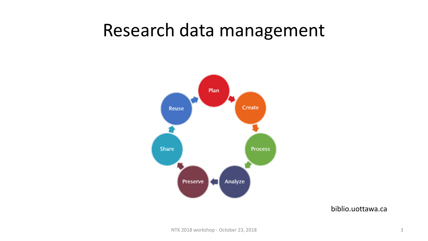# Research data management



biblio.uottawa.ca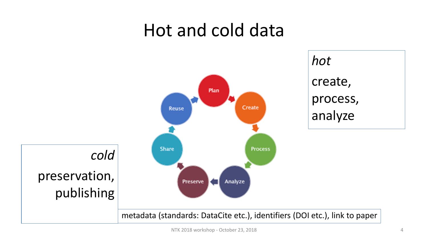## Hot and cold data

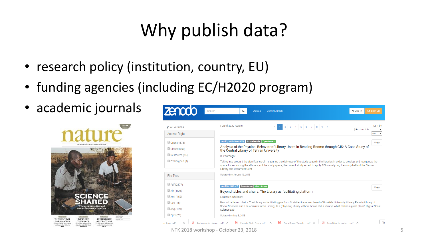# Why publish data?

- research policy (institution, country, EU)
- funding agencies (including EC/H2020 program)
- academic journals





NTK 2018 workshop - October 23, 2018 5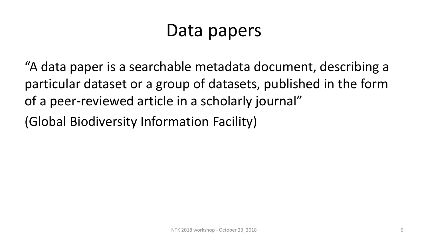# Data papers

"A data paper is a searchable metadata document, describing a particular dataset or a group of datasets, published in the form of a peer-reviewed article in a scholarly journal"

(Global Biodiversity Information Facility)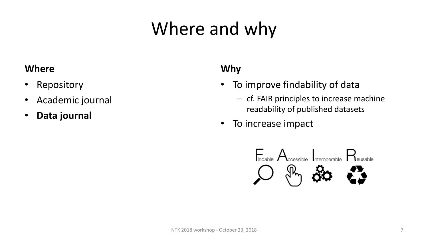# Where and why

#### **Where**

- Repository
- Academic journal
- **Data journal**

## **Why**

- To improve findability of data
	- cf. FAIR principles to increase machine readability of published datasets
- To increase impact

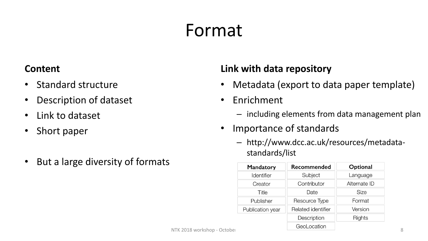# Format

#### **Content**

- Standard structure
- Description of dataset
- Link to dataset
- Short paper
- But a large diversity of formats

### **Link with data repository**

- Metadata (export to data paper template)
- Enrichment
	- including elements from data management plan
- Importance of standards
	- http://www.dcc.ac.uk/resources/metadatastandards/list

| <b>Mandatory</b> | Recommended        | Optional     |
|------------------|--------------------|--------------|
| Identifier       | Subject            | Language     |
| Creator          | Contributor        | Alternate ID |
| Title            | Date               | <b>Size</b>  |
| Publisher        | Resource Type      | Format       |
| Publication year | Related identifier | Version      |
|                  | Description        | Rights       |
|                  | GeoLocation        |              |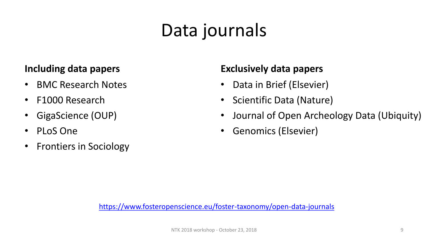# Data journals

### **Including data papers**

- BMC Research Notes
- F1000 Research
- GigaScience (OUP)
- PLoS One
- Frontiers in Sociology

### **Exclusively data papers**

- Data in Brief (Elsevier)
- Scientific Data (Nature)
- Journal of Open Archeology Data (Ubiquity)
- Genomics (Elsevier)

<https://www.fosteropenscience.eu/foster-taxonomy/open-data-journals>